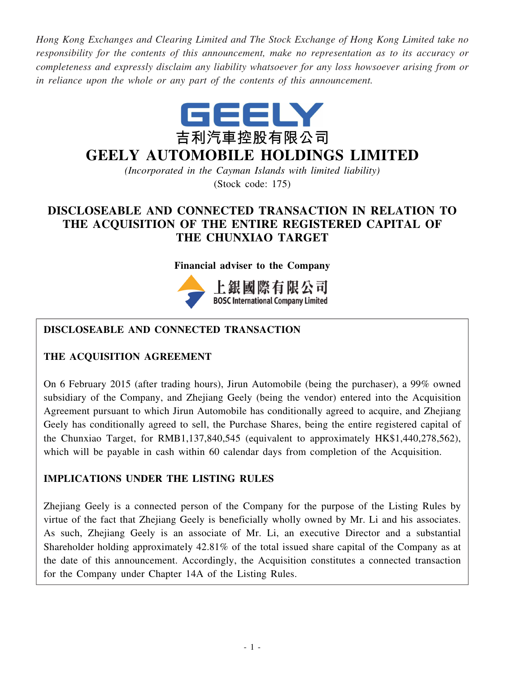*Hong Kong Exchanges and Clearing Limited and The Stock Exchange of Hong Kong Limited take no responsibility for the contents of this announcement, make no representation as to its accuracy or completeness and expressly disclaim any liability whatsoever for any loss howsoever arising from or in reliance upon the whole or any part of the contents of this announcement.*



# **GEELY AUTOMOBILE HOLDINGS LIMITED**

*(Incorporated in the Cayman Islands with limited liability)* (Stock code: 175)

# **DISCLOSEABLE AND CONNECTED TRANSACTION IN RELATION TO THE ACQUISITION OF THE ENTIRE REGISTERED CAPITAL OF THE CHUNXIAO TARGET**

#### **Financial adviser to the Company**



# **BOSC International Company Limited**

# **DISCLOSEABLE AND CONNECTED TRANSACTION**

#### **THE ACQUISITION AGREEMENT**

On 6 February 2015 (after trading hours), Jirun Automobile (being the purchaser), a 99% owned subsidiary of the Company, and Zhejiang Geely (being the vendor) entered into the Acquisition Agreement pursuant to which Jirun Automobile has conditionally agreed to acquire, and Zhejiang Geely has conditionally agreed to sell, the Purchase Shares, being the entire registered capital of the Chunxiao Target, for RMB1,137,840,545 (equivalent to approximately HK\$1,440,278,562), which will be payable in cash within 60 calendar days from completion of the Acquisition.

#### **IMPLICATIONS UNDER THE LISTING RULES**

Zhejiang Geely is a connected person of the Company for the purpose of the Listing Rules by virtue of the fact that Zhejiang Geely is beneficially wholly owned by Mr. Li and his associates. As such, Zhejiang Geely is an associate of Mr. Li, an executive Director and a substantial Shareholder holding approximately 42.81% of the total issued share capital of the Company as at the date of this announcement. Accordingly, the Acquisition constitutes a connected transaction for the Company under Chapter 14A of the Listing Rules.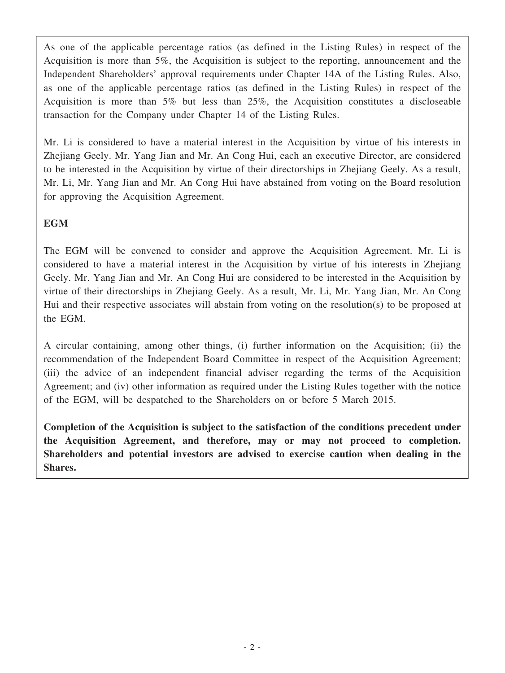As one of the applicable percentage ratios (as defined in the Listing Rules) in respect of the Acquisition is more than 5%, the Acquisition is subject to the reporting, announcement and the Independent Shareholders' approval requirements under Chapter 14A of the Listing Rules. Also, as one of the applicable percentage ratios (as defined in the Listing Rules) in respect of the Acquisition is more than 5% but less than 25%, the Acquisition constitutes a discloseable transaction for the Company under Chapter 14 of the Listing Rules.

Mr. Li is considered to have a material interest in the Acquisition by virtue of his interests in Zhejiang Geely. Mr. Yang Jian and Mr. An Cong Hui, each an executive Director, are considered to be interested in the Acquisition by virtue of their directorships in Zhejiang Geely. As a result, Mr. Li, Mr. Yang Jian and Mr. An Cong Hui have abstained from voting on the Board resolution for approving the Acquisition Agreement.

### **EGM**

The EGM will be convened to consider and approve the Acquisition Agreement. Mr. Li is considered to have a material interest in the Acquisition by virtue of his interests in Zhejiang Geely. Mr. Yang Jian and Mr. An Cong Hui are considered to be interested in the Acquisition by virtue of their directorships in Zhejiang Geely. As a result, Mr. Li, Mr. Yang Jian, Mr. An Cong Hui and their respective associates will abstain from voting on the resolution(s) to be proposed at the EGM.

A circular containing, among other things, (i) further information on the Acquisition; (ii) the recommendation of the Independent Board Committee in respect of the Acquisition Agreement; (iii) the advice of an independent financial adviser regarding the terms of the Acquisition Agreement; and (iv) other information as required under the Listing Rules together with the notice of the EGM, will be despatched to the Shareholders on or before 5 March 2015.

**Completion of the Acquisition is subject to the satisfaction of the conditions precedent under the Acquisition Agreement, and therefore, may or may not proceed to completion. Shareholders and potential investors are advised to exercise caution when dealing in the Shares.**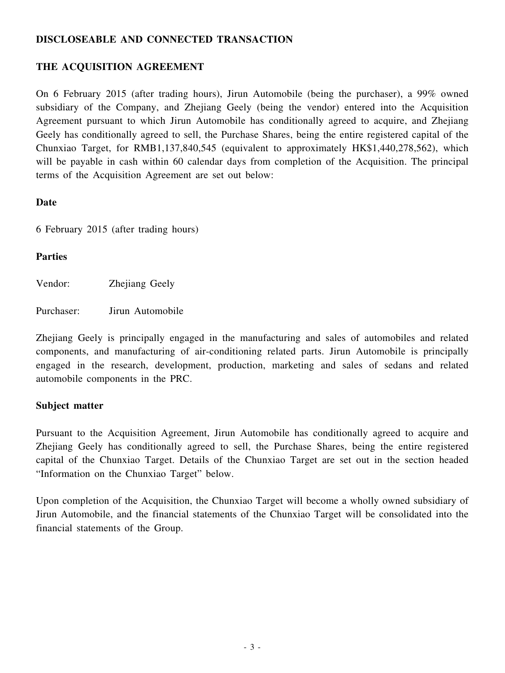#### **DISCLOSEABLE AND CONNECTED TRANSACTION**

#### **THE ACQUISITION AGREEMENT**

On 6 February 2015 (after trading hours), Jirun Automobile (being the purchaser), a 99% owned subsidiary of the Company, and Zhejiang Geely (being the vendor) entered into the Acquisition Agreement pursuant to which Jirun Automobile has conditionally agreed to acquire, and Zhejiang Geely has conditionally agreed to sell, the Purchase Shares, being the entire registered capital of the Chunxiao Target, for RMB1,137,840,545 (equivalent to approximately HK\$1,440,278,562), which will be payable in cash within 60 calendar days from completion of the Acquisition. The principal terms of the Acquisition Agreement are set out below:

#### **Date**

6 February 2015 (after trading hours)

#### **Parties**

Vendor: Zhejiang Geely

Purchaser: Jirun Automobile

Zhejiang Geely is principally engaged in the manufacturing and sales of automobiles and related components, and manufacturing of air-conditioning related parts. Jirun Automobile is principally engaged in the research, development, production, marketing and sales of sedans and related automobile components in the PRC.

#### **Subject matter**

Pursuant to the Acquisition Agreement, Jirun Automobile has conditionally agreed to acquire and Zhejiang Geely has conditionally agreed to sell, the Purchase Shares, being the entire registered capital of the Chunxiao Target. Details of the Chunxiao Target are set out in the section headed "Information on the Chunxiao Target" below.

Upon completion of the Acquisition, the Chunxiao Target will become a wholly owned subsidiary of Jirun Automobile, and the financial statements of the Chunxiao Target will be consolidated into the financial statements of the Group.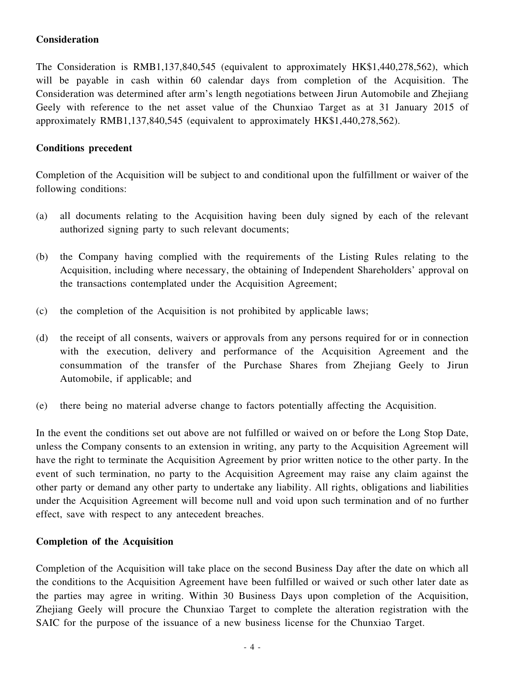#### **Consideration**

The Consideration is RMB1,137,840,545 (equivalent to approximately HK\$1,440,278,562), which will be payable in cash within 60 calendar days from completion of the Acquisition. The Consideration was determined after arm's length negotiations between Jirun Automobile and Zhejiang Geely with reference to the net asset value of the Chunxiao Target as at 31 January 2015 of approximately RMB1,137,840,545 (equivalent to approximately HK\$1,440,278,562).

#### **Conditions precedent**

Completion of the Acquisition will be subject to and conditional upon the fulfillment or waiver of the following conditions:

- (a) all documents relating to the Acquisition having been duly signed by each of the relevant authorized signing party to such relevant documents;
- (b) the Company having complied with the requirements of the Listing Rules relating to the Acquisition, including where necessary, the obtaining of Independent Shareholders' approval on the transactions contemplated under the Acquisition Agreement;
- (c) the completion of the Acquisition is not prohibited by applicable laws;
- (d) the receipt of all consents, waivers or approvals from any persons required for or in connection with the execution, delivery and performance of the Acquisition Agreement and the consummation of the transfer of the Purchase Shares from Zhejiang Geely to Jirun Automobile, if applicable; and
- (e) there being no material adverse change to factors potentially affecting the Acquisition.

In the event the conditions set out above are not fulfilled or waived on or before the Long Stop Date, unless the Company consents to an extension in writing, any party to the Acquisition Agreement will have the right to terminate the Acquisition Agreement by prior written notice to the other party. In the event of such termination, no party to the Acquisition Agreement may raise any claim against the other party or demand any other party to undertake any liability. All rights, obligations and liabilities under the Acquisition Agreement will become null and void upon such termination and of no further effect, save with respect to any antecedent breaches.

#### **Completion of the Acquisition**

Completion of the Acquisition will take place on the second Business Day after the date on which all the conditions to the Acquisition Agreement have been fulfilled or waived or such other later date as the parties may agree in writing. Within 30 Business Days upon completion of the Acquisition, Zhejiang Geely will procure the Chunxiao Target to complete the alteration registration with the SAIC for the purpose of the issuance of a new business license for the Chunxiao Target.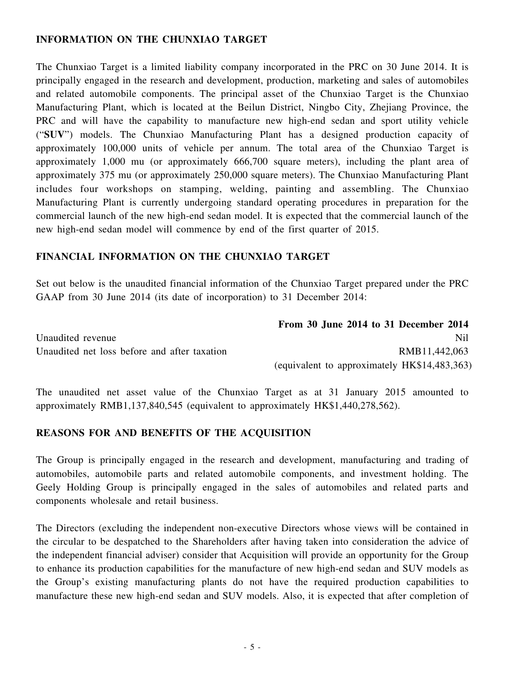#### **INFORMATION ON THE CHUNXIAO TARGET**

The Chunxiao Target is a limited liability company incorporated in the PRC on 30 June 2014. It is principally engaged in the research and development, production, marketing and sales of automobiles and related automobile components. The principal asset of the Chunxiao Target is the Chunxiao Manufacturing Plant, which is located at the Beilun District, Ningbo City, Zhejiang Province, the PRC and will have the capability to manufacture new high-end sedan and sport utility vehicle ("**SUV**") models. The Chunxiao Manufacturing Plant has a designed production capacity of approximately 100,000 units of vehicle per annum. The total area of the Chunxiao Target is approximately 1,000 mu (or approximately 666,700 square meters), including the plant area of approximately 375 mu (or approximately 250,000 square meters). The Chunxiao Manufacturing Plant includes four workshops on stamping, welding, painting and assembling. The Chunxiao Manufacturing Plant is currently undergoing standard operating procedures in preparation for the commercial launch of the new high-end sedan model. It is expected that the commercial launch of the new high-end sedan model will commence by end of the first quarter of 2015.

#### **FINANCIAL INFORMATION ON THE CHUNXIAO TARGET**

Set out below is the unaudited financial information of the Chunxiao Target prepared under the PRC GAAP from 30 June 2014 (its date of incorporation) to 31 December 2014:

|                                              | From 30 June 2014 to 31 December 2014        |
|----------------------------------------------|----------------------------------------------|
| Unaudited revenue                            | Nil.                                         |
| Unaudited net loss before and after taxation | RMB11,442,063                                |
|                                              | (equivalent to approximately HK\$14,483,363) |

The unaudited net asset value of the Chunxiao Target as at 31 January 2015 amounted to approximately RMB1,137,840,545 (equivalent to approximately HK\$1,440,278,562).

#### **REASONS FOR AND BENEFITS OF THE ACQUISITION**

The Group is principally engaged in the research and development, manufacturing and trading of automobiles, automobile parts and related automobile components, and investment holding. The Geely Holding Group is principally engaged in the sales of automobiles and related parts and components wholesale and retail business.

The Directors (excluding the independent non-executive Directors whose views will be contained in the circular to be despatched to the Shareholders after having taken into consideration the advice of the independent financial adviser) consider that Acquisition will provide an opportunity for the Group to enhance its production capabilities for the manufacture of new high-end sedan and SUV models as the Group's existing manufacturing plants do not have the required production capabilities to manufacture these new high-end sedan and SUV models. Also, it is expected that after completion of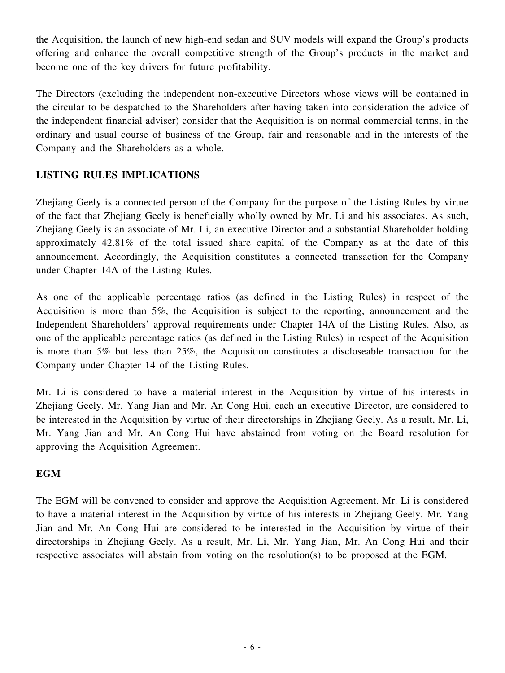the Acquisition, the launch of new high-end sedan and SUV models will expand the Group's products offering and enhance the overall competitive strength of the Group's products in the market and become one of the key drivers for future profitability.

The Directors (excluding the independent non-executive Directors whose views will be contained in the circular to be despatched to the Shareholders after having taken into consideration the advice of the independent financial adviser) consider that the Acquisition is on normal commercial terms, in the ordinary and usual course of business of the Group, fair and reasonable and in the interests of the Company and the Shareholders as a whole.

#### **LISTING RULES IMPLICATIONS**

Zhejiang Geely is a connected person of the Company for the purpose of the Listing Rules by virtue of the fact that Zhejiang Geely is beneficially wholly owned by Mr. Li and his associates. As such, Zhejiang Geely is an associate of Mr. Li, an executive Director and a substantial Shareholder holding approximately 42.81% of the total issued share capital of the Company as at the date of this announcement. Accordingly, the Acquisition constitutes a connected transaction for the Company under Chapter 14A of the Listing Rules.

As one of the applicable percentage ratios (as defined in the Listing Rules) in respect of the Acquisition is more than 5%, the Acquisition is subject to the reporting, announcement and the Independent Shareholders' approval requirements under Chapter 14A of the Listing Rules. Also, as one of the applicable percentage ratios (as defined in the Listing Rules) in respect of the Acquisition is more than 5% but less than 25%, the Acquisition constitutes a discloseable transaction for the Company under Chapter 14 of the Listing Rules.

Mr. Li is considered to have a material interest in the Acquisition by virtue of his interests in Zhejiang Geely. Mr. Yang Jian and Mr. An Cong Hui, each an executive Director, are considered to be interested in the Acquisition by virtue of their directorships in Zhejiang Geely. As a result, Mr. Li, Mr. Yang Jian and Mr. An Cong Hui have abstained from voting on the Board resolution for approving the Acquisition Agreement.

#### **EGM**

The EGM will be convened to consider and approve the Acquisition Agreement. Mr. Li is considered to have a material interest in the Acquisition by virtue of his interests in Zhejiang Geely. Mr. Yang Jian and Mr. An Cong Hui are considered to be interested in the Acquisition by virtue of their directorships in Zhejiang Geely. As a result, Mr. Li, Mr. Yang Jian, Mr. An Cong Hui and their respective associates will abstain from voting on the resolution(s) to be proposed at the EGM.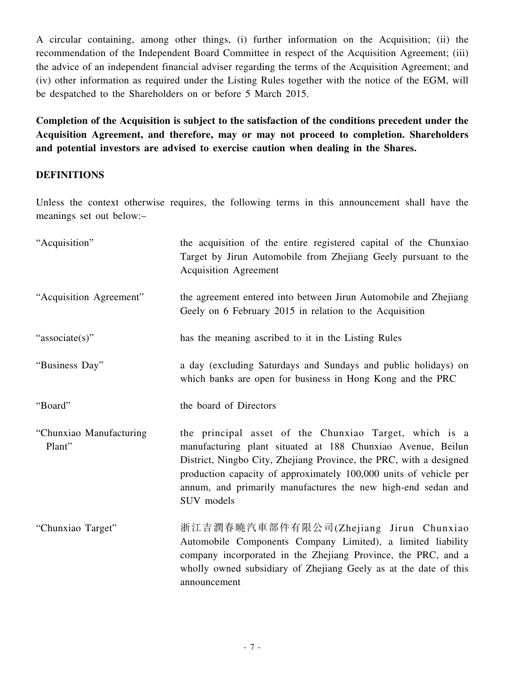A circular containing, among other things, (i) further information on the Acquisition; (ii) the recommendation of the Independent Board Committee in respect of the Acquisition Agreement; (iii) the advice of an independent financial adviser regarding the terms of the Acquisition Agreement; and (iv) other information as required under the Listing Rules together with the notice of the EGM, will be despatched to the Shareholders on or before 5 March 2015.

**Completion of the Acquisition is subject to the satisfaction of the conditions precedent under the Acquisition Agreement, and therefore, may or may not proceed to completion. Shareholders and potential investors are advised to exercise caution when dealing in the Shares.**

#### **DEFINITIONS**

Unless the context otherwise requires, the following terms in this announcement shall have the meanings set out below:–

| "Acquisition"                     | the acquisition of the entire registered capital of the Chunxiao<br>Target by Jirun Automobile from Zhejiang Geely pursuant to the<br><b>Acquisition Agreement</b>                                                                                                                                                                             |
|-----------------------------------|------------------------------------------------------------------------------------------------------------------------------------------------------------------------------------------------------------------------------------------------------------------------------------------------------------------------------------------------|
| "Acquisition Agreement"           | the agreement entered into between Jirun Automobile and Zhejiang<br>Geely on 6 February 2015 in relation to the Acquisition                                                                                                                                                                                                                    |
| "associate(s)"                    | has the meaning ascribed to it in the Listing Rules                                                                                                                                                                                                                                                                                            |
| "Business Day"                    | a day (excluding Saturdays and Sundays and public holidays) on<br>which banks are open for business in Hong Kong and the PRC                                                                                                                                                                                                                   |
| "Board"                           | the board of Directors                                                                                                                                                                                                                                                                                                                         |
| "Chunxiao Manufacturing<br>Plant" | the principal asset of the Chunxiao Target, which is a<br>manufacturing plant situated at 188 Chunxiao Avenue, Beilun<br>District, Ningbo City, Zhejiang Province, the PRC, with a designed<br>production capacity of approximately 100,000 units of vehicle per<br>annum, and primarily manufactures the new high-end sedan and<br>SUV models |
| "Chunxiao Target"                 | 浙江吉潤春曉汽車部件有限公司(Zhejiang Jirun Chunxiao<br>Automobile Components Company Limited), a limited liability<br>company incorporated in the Zhejiang Province, the PRC, and a<br>wholly owned subsidiary of Zhejiang Geely as at the date of this<br>announcement                                                                                     |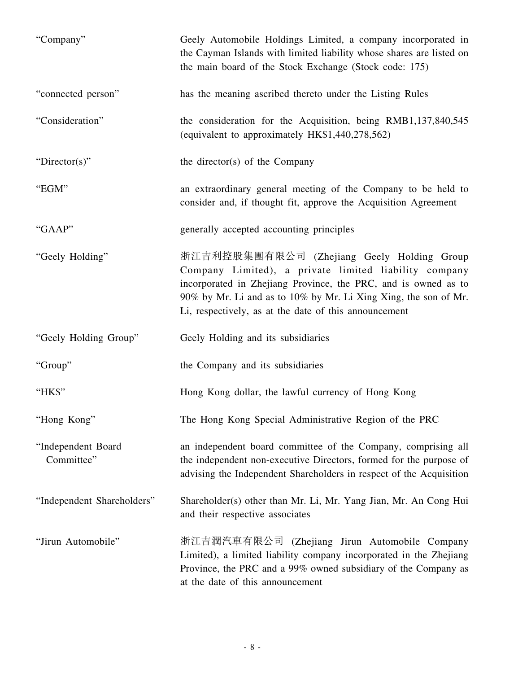| "Company"                        | Geely Automobile Holdings Limited, a company incorporated in<br>the Cayman Islands with limited liability whose shares are listed on<br>the main board of the Stock Exchange (Stock code: 175)                                                                                                    |
|----------------------------------|---------------------------------------------------------------------------------------------------------------------------------------------------------------------------------------------------------------------------------------------------------------------------------------------------|
| "connected person"               | has the meaning ascribed thereto under the Listing Rules                                                                                                                                                                                                                                          |
| "Consideration"                  | the consideration for the Acquisition, being RMB1,137,840,545<br>(equivalent to approximately HK\$1,440,278,562)                                                                                                                                                                                  |
| "Director(s)"                    | the director(s) of the Company                                                                                                                                                                                                                                                                    |
| "EGM"                            | an extraordinary general meeting of the Company to be held to<br>consider and, if thought fit, approve the Acquisition Agreement                                                                                                                                                                  |
| "GAAP"                           | generally accepted accounting principles                                                                                                                                                                                                                                                          |
| "Geely Holding"                  | 浙江吉利控股集團有限公司 (Zhejiang Geely Holding Group<br>Company Limited), a private limited liability company<br>incorporated in Zhejiang Province, the PRC, and is owned as to<br>90% by Mr. Li and as to 10% by Mr. Li Xing Xing, the son of Mr.<br>Li, respectively, as at the date of this announcement |
| "Geely Holding Group"            | Geely Holding and its subsidiaries                                                                                                                                                                                                                                                                |
| "Group"                          | the Company and its subsidiaries                                                                                                                                                                                                                                                                  |
| "HK\$"                           | Hong Kong dollar, the lawful currency of Hong Kong                                                                                                                                                                                                                                                |
| "Hong Kong"                      | The Hong Kong Special Administrative Region of the PRC                                                                                                                                                                                                                                            |
| "Independent Board<br>Committee" | an independent board committee of the Company, comprising all<br>the independent non-executive Directors, formed for the purpose of<br>advising the Independent Shareholders in respect of the Acquisition                                                                                        |
| "Independent Shareholders"       | Shareholder(s) other than Mr. Li, Mr. Yang Jian, Mr. An Cong Hui<br>and their respective associates                                                                                                                                                                                               |
| "Jirun Automobile"               | 浙江吉潤汽車有限公司 (Zhejiang Jirun Automobile Company<br>Limited), a limited liability company incorporated in the Zhejiang<br>Province, the PRC and a 99% owned subsidiary of the Company as<br>at the date of this announcement                                                                         |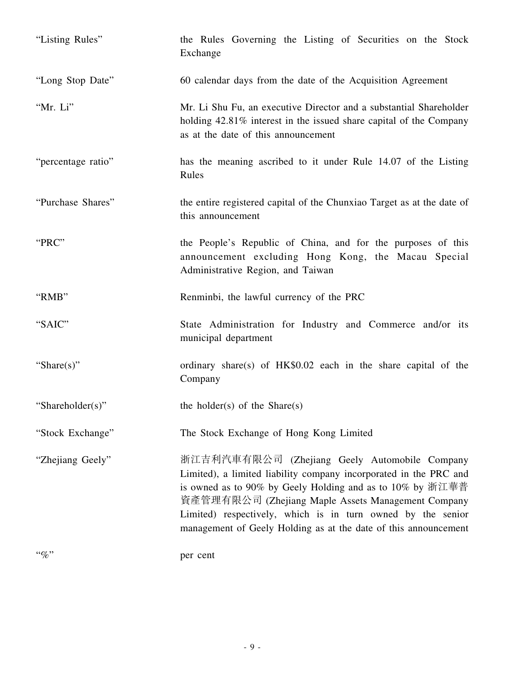| "Listing Rules"    | the Rules Governing the Listing of Securities on the Stock<br>Exchange                                                                                                                                                                                                                                                                                                  |
|--------------------|-------------------------------------------------------------------------------------------------------------------------------------------------------------------------------------------------------------------------------------------------------------------------------------------------------------------------------------------------------------------------|
| "Long Stop Date"   | 60 calendar days from the date of the Acquisition Agreement                                                                                                                                                                                                                                                                                                             |
| "Mr. Li"           | Mr. Li Shu Fu, an executive Director and a substantial Shareholder<br>holding 42.81% interest in the issued share capital of the Company<br>as at the date of this announcement                                                                                                                                                                                         |
| "percentage ratio" | has the meaning ascribed to it under Rule 14.07 of the Listing<br>Rules                                                                                                                                                                                                                                                                                                 |
| "Purchase Shares"  | the entire registered capital of the Chunxiao Target as at the date of<br>this announcement                                                                                                                                                                                                                                                                             |
| "PRC"              | the People's Republic of China, and for the purposes of this<br>announcement excluding Hong Kong, the Macau Special<br>Administrative Region, and Taiwan                                                                                                                                                                                                                |
| "RMB"              | Renminbi, the lawful currency of the PRC                                                                                                                                                                                                                                                                                                                                |
| "SAIC"             | State Administration for Industry and Commerce and/or its<br>municipal department                                                                                                                                                                                                                                                                                       |
| "Share $(s)$ "     | ordinary share(s) of HK\$0.02 each in the share capital of the<br>Company                                                                                                                                                                                                                                                                                               |
| "Shareholder(s)"   | the holder(s) of the Share(s)                                                                                                                                                                                                                                                                                                                                           |
| "Stock Exchange"   | The Stock Exchange of Hong Kong Limited                                                                                                                                                                                                                                                                                                                                 |
| "Zhejiang Geely"   | 浙江吉利汽車有限公司 (Zhejiang Geely Automobile Company<br>Limited), a limited liability company incorporated in the PRC and<br>is owned as to 90% by Geely Holding and as to 10% by 浙江華普<br>資產管理有限公司 (Zhejiang Maple Assets Management Company<br>Limited) respectively, which is in turn owned by the senior<br>management of Geely Holding as at the date of this announcement |
| $``\%"$            | per cent                                                                                                                                                                                                                                                                                                                                                                |